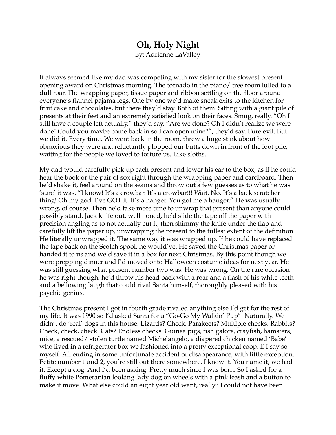## **Oh, Holy Night**

By: Adrienne LaValley

It always seemed like my dad was competing with my sister for the slowest present opening award on Christmas morning. The tornado in the piano/ tree room lulled to a dull roar. The wrapping paper, tissue paper and ribbon settling on the floor around everyone's flannel pajama legs. One by one we'd make sneak exits to the kitchen for fruit cake and chocolates, but there they'd stay. Both of them. Sitting with a giant pile of presents at their feet and an extremely satisfied look on their faces. Smug, really. "Oh I still have a couple left actually," they'd say. "Are we done? Oh I didn't realize we were done! Could you maybe come back in so I can open mine?", they'd say. Pure evil. But we did it. Every time. We went back in the room, threw a huge stink about how obnoxious they were and reluctantly plopped our butts down in front of the loot pile, waiting for the people we loved to torture us. Like sloths.

My dad would carefully pick up each present and lower his ear to the box, as if he could hear the book or the pair of sox right through the wrapping paper and cardboard. Then he'd shake it, feel around on the seams and throw out a few guesses as to what he was 'sure' it was. "I know! It's a crowbar. It's a crowbar!!! Wait. No. It's a back scratcher thing! Oh my god, I've GOT it. It's a hanger. You got me a hanger." He was usually wrong, of course. Then he'd take more time to unwrap that present than anyone could possibly stand. Jack knife out, well honed, he'd slide the tape off the paper with precision angling as to not actually cut it, then shimmy the knife under the flap and carefully lift the paper up, unwrapping the present to the fullest extent of the definition. He literally unwrapped it. The same way it was wrapped up. If he could have replaced the tape back on the Scotch spool, he would've. He saved the Christmas paper or handed it to us and we'd save it in a box for next Christmas. By this point though we were prepping dinner and I'd moved onto Halloween costume ideas for next year. He was still guessing what present number two was. He was wrong. On the rare occasion he was right though, he'd throw his head back with a roar and a flash of his white teeth and a bellowing laugh that could rival Santa himself, thoroughly pleased with his psychic genius.

The Christmas present I got in fourth grade rivaled anything else I'd get for the rest of my life. It was 1990 so I'd asked Santa for a "Go-Go My Walkin' Pup". Naturally. We didn't do 'real' dogs in this house. Lizards? Check. Parakeets? Multiple checks. Rabbits? Check, check, check. Cats? Endless checks. Guinea pigs, fish galore, crayfish, hamsters, mice, a rescued/ stolen turtle named Michelangelo, a diapered chicken named 'Babe' who lived in a refrigerator box we fashioned into a pretty exceptional coop, if I say so myself. All ending in some unfortunate accident or disappearance, with little exception. Petite number 1 and 2, you're still out there somewhere. I know it. You name it, we had it. Except a dog. And I'd been asking. Pretty much since I was born. So I asked for a fluffy white Pomeranian looking lady dog on wheels with a pink leash and a button to make it move. What else could an eight year old want, really? I could not have been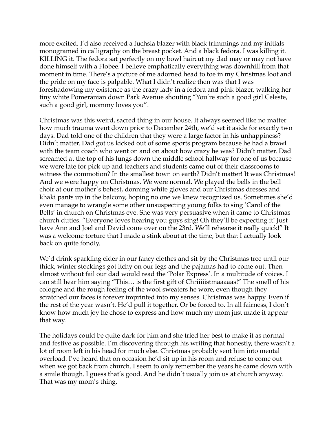more excited. I'd also received a fuchsia blazer with black trimmings and my initials monogramed in calligraphy on the breast pocket. And a black fedora. I was killing it. KILLING it. The fedora sat perfectly on my bowl haircut my dad may or may not have done himself with a Flobee. I believe emphatically everything was downhill from that moment in time. There's a picture of me adorned head to toe in my Christmas loot and the pride on my face is palpable. What I didn't realize then was that I was foreshadowing my existence as the crazy lady in a fedora and pink blazer, walking her tiny white Pomeranian down Park Avenue shouting "You're such a good girl Celeste, such a good girl, mommy loves you".

Christmas was this weird, sacred thing in our house. It always seemed like no matter how much trauma went down prior to December 24th, we'd set it aside for exactly two days. Dad told one of the children that they were a large factor in his unhappiness? Didn't matter. Dad got us kicked out of some sports program because he had a brawl with the team coach who went on and on about how crazy he was? Didn't matter. Dad screamed at the top of his lungs down the middle school hallway for one of us because we were late for pick up and teachers and students came out of their classrooms to witness the commotion? In the smallest town on earth? Didn't matter! It was Christmas! And we were happy on Christmas. We were normal. We played the bells in the bell choir at our mother's behest, donning white gloves and our Christmas dresses and khaki pants up in the balcony, hoping no one we knew recognized us. Sometimes she'd even manage to wrangle some other unsuspecting young folks to sing 'Carol of the Bells' in church on Christmas eve. She was very persuasive when it came to Christmas church duties. "Everyone loves hearing you guys sing! Oh they'll be expecting it! Just have Ann and Joel and David come over on the 23rd. We'll rehearse it really quick!" It was a welcome torture that I made a stink about at the time, but that I actually look back on quite fondly.

We'd drink sparkling cider in our fancy clothes and sit by the Christmas tree until our thick, winter stockings got itchy on our legs and the pajamas had to come out. Then almost without fail our dad would read the 'Polar Express'. In a multitude of voices. I can still hear him saying "This… is the first gift of Chriiiiistmaaaaas!" The smell of his cologne and the rough feeling of the wool sweaters he wore, even though they scratched our faces is forever imprinted into my senses. Christmas was happy. Even if the rest of the year wasn't. He'd pull it together. Or be forced to. In all fairness, I don't know how much joy he chose to express and how much my mom just made it appear that way.

The holidays could be quite dark for him and she tried her best to make it as normal and festive as possible. I'm discovering through his writing that honestly, there wasn't a lot of room left in his head for much else. Christmas probably sent him into mental overload. I've heard that on occasion he'd sit up in his room and refuse to come out when we got back from church. I seem to only remember the years he came down with a smile though. I guess that's good. And he didn't usually join us at church anyway. That was my mom's thing.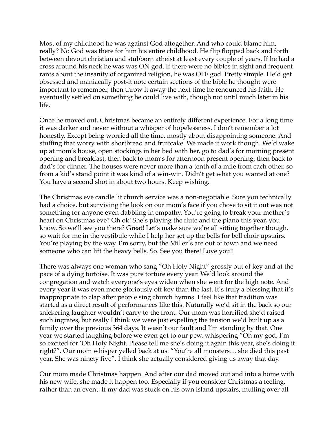Most of my childhood he was against God altogether. And who could blame him, really? No God was there for him his entire childhood. He flip flopped back and forth between devout christian and stubborn atheist at least every couple of years. If he had a cross around his neck he was was ON god. If there were no bibles in sight and frequent rants about the insanity of organized religion, he was OFF god. Pretty simple. He'd get obsessed and maniacally post-it note certain sections of the bible he thought were important to remember, then throw it away the next time he renounced his faith. He eventually settled on something he could live with, though not until much later in his life.

Once he moved out, Christmas became an entirely different experience. For a long time it was darker and never without a whisper of hopelessness. I don't remember a lot honestly. Except being worried all the time, mostly about disappointing someone. And stuffing that worry with shortbread and fruitcake. We made it work though. We'd wake up at mom's house, open stockings in her bed with her, go to dad's for morning present opening and breakfast, then back to mom's for afternoon present opening, then back to dad's for dinner. The houses were never more than a tenth of a mile from each other, so from a kid's stand point it was kind of a win-win. Didn't get what you wanted at one? You have a second shot in about two hours. Keep wishing.

The Christmas eve candle lit church service was a non-negotiable. Sure you technically had a choice, but surviving the look on our mom's face if you chose to sit it out was not something for anyone even dabbling in empathy. You're going to break your mother's heart on Christmas eve? Oh ok! She's playing the flute and the piano this year, you know. So we'll see you there? Great! Let's make sure we're all sitting together though, so wait for me in the vestibule while I help her set up the bells for bell choir upstairs. You're playing by the way. I'm sorry, but the Miller's are out of town and we need someone who can lift the heavy bells. So. See you there! Love you!!

There was always one woman who sang "Oh Holy Night" grossly out of key and at the pace of a dying tortoise. It was pure torture every year. We'd look around the congregation and watch everyone's eyes widen when she went for the high note. And every year it was even more gloriously off key than the last. It's truly a blessing that it's inappropriate to clap after people sing church hymns. I feel like that tradition was started as a direct result of performances like this. Naturally we'd sit in the back so our snickering laughter wouldn't carry to the front. Our mom was horrified she'd raised such ingrates, but really I think we were just expelling the tension we'd built up as a family over the previous 364 days. It wasn't our fault and I'm standing by that. One year we started laughing before we even got to our pew, whispering "Oh my god, I'm so excited for 'Oh Holy Night. Please tell me she's doing it again this year, she's doing it right?". Our mom whisper yelled back at us: "You're all monsters… she died this past year. She was ninety five". I think she actually considered giving us away that day.

Our mom made Christmas happen. And after our dad moved out and into a home with his new wife, she made it happen too. Especially if you consider Christmas a feeling, rather than an event. If my dad was stuck on his own island upstairs, mulling over all